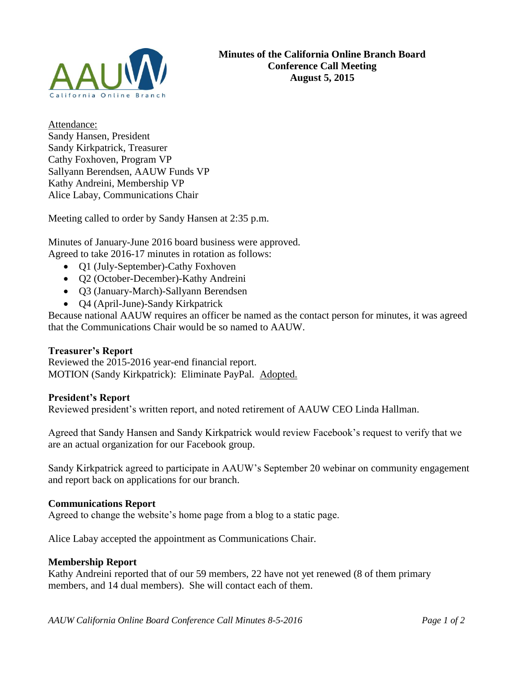

Attendance: Sandy Hansen, President Sandy Kirkpatrick, Treasurer Cathy Foxhoven, Program VP Sallyann Berendsen, AAUW Funds VP Kathy Andreini, Membership VP Alice Labay, Communications Chair

Meeting called to order by Sandy Hansen at 2:35 p.m.

Minutes of January-June 2016 board business were approved. Agreed to take 2016-17 minutes in rotation as follows:

- Q1 (July-September)-Cathy Foxhoven
- Q2 (October-December)-Kathy Andreini
- Q3 (January-March)-Sallyann Berendsen
- Q4 (April-June)-Sandy Kirkpatrick

Because national AAUW requires an officer be named as the contact person for minutes, it was agreed that the Communications Chair would be so named to AAUW.

# **Treasurer's Report**

Reviewed the 2015-2016 year-end financial report. MOTION (Sandy Kirkpatrick): Eliminate PayPal. Adopted.

# **President's Report**

Reviewed president's written report, and noted retirement of AAUW CEO Linda Hallman.

Agreed that Sandy Hansen and Sandy Kirkpatrick would review Facebook's request to verify that we are an actual organization for our Facebook group.

Sandy Kirkpatrick agreed to participate in AAUW's September 20 webinar on community engagement and report back on applications for our branch.

# **Communications Report**

Agreed to change the website's home page from a blog to a static page.

Alice Labay accepted the appointment as Communications Chair.

### **Membership Report**

Kathy Andreini reported that of our 59 members, 22 have not yet renewed (8 of them primary members, and 14 dual members). She will contact each of them.